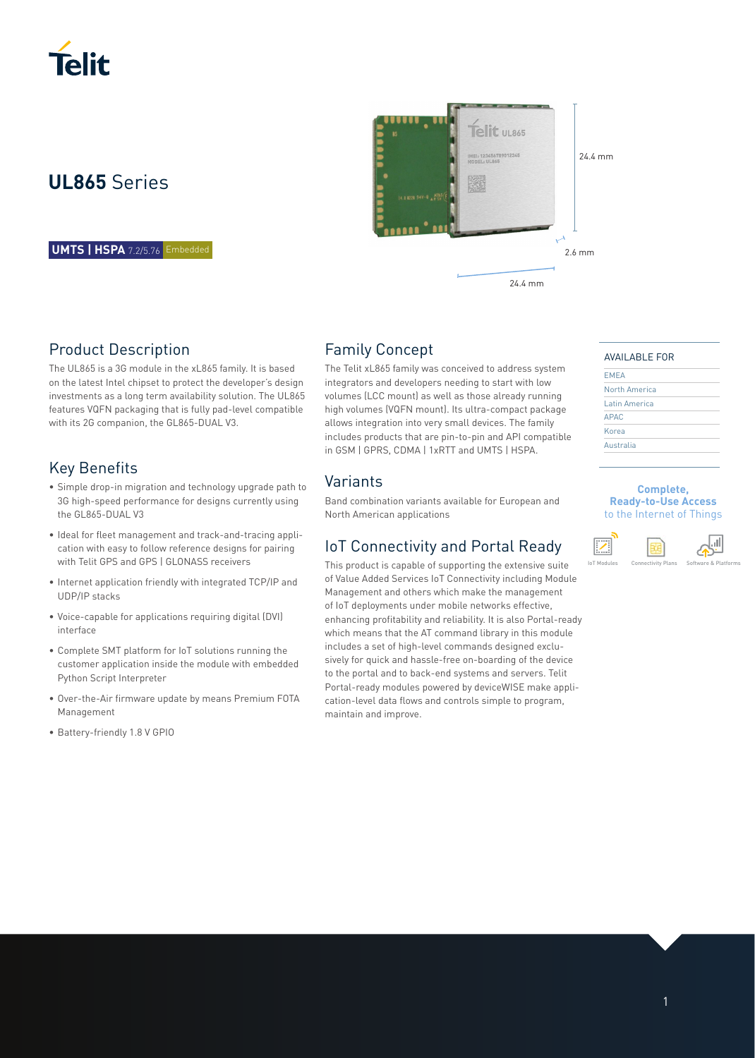

# **UL865** Series

**UMTS | HSPA** 7.2/5.76 Embedded

### Product Description

The UL865 is a 3G module in the xL865 family. It is based on the latest Intel chipset to protect the developer's design investments as a long term availability solution. The UL865 features VQFN packaging that is fully pad-level compatible with its 2G companion, the GL865-DUAL V3.

## Key Benefits

- Simple drop-in migration and technology upgrade path to 3G high-speed performance for designs currently using the GL865-DUAL V3
- Ideal for fleet management and track-and-tracing appli cation with easy to follow reference designs for pairing with Telit GPS and GPS | GLONASS receivers
- Internet application friendly with integrated TCP/IP and UDP/IP stacks
- Voice-capable for applications requiring digital (DVI) interface
- Complete SMT platform for IoT solutions running the customer application inside the module with embedded Python Script Interpreter
- Over-the-Air firmware update by means Premium FOTA Management
- Battery-friendly 1.8 V GPIO



### Family Concept

The Telit xL865 family was conceived to address system integrators and developers needing to start with low volumes (LCC mount) as well as those already running high volumes (VQFN mount). Its ultra-compact package allows integration into very small devices. The family includes products that are pin-to-pin and API compatible in GSM | GPRS, CDMA | 1xRTT and UMTS | HSPA.

### Variants

Band combination variants available for European and North American applications

### IoT Connectivity and Portal Ready

This product is capable of supporting the extensive suite of Value Added Services IoT Connectivity including Module Management and others which make the management of IoT deployments under mobile networks effective, enhancing profitability and reliability. It is also Portal-ready which means that the AT command library in this module includes a set of high-level commands designed exclusively for quick and hassle-free on-boarding of the device to the portal and to back-end systems and servers. Telit Portal-ready modules powered by deviceWISE make application-level data flows and controls simple to program, maintain and improve.

### AVAILABLE FOR

| <b>EMEA</b>   |  |
|---------------|--|
| North America |  |
| Latin America |  |
| <b>APAC</b>   |  |
| Korea         |  |
| Australia     |  |
|               |  |

### **Complete, Ready-to-Use Access**  to the Internet of Things